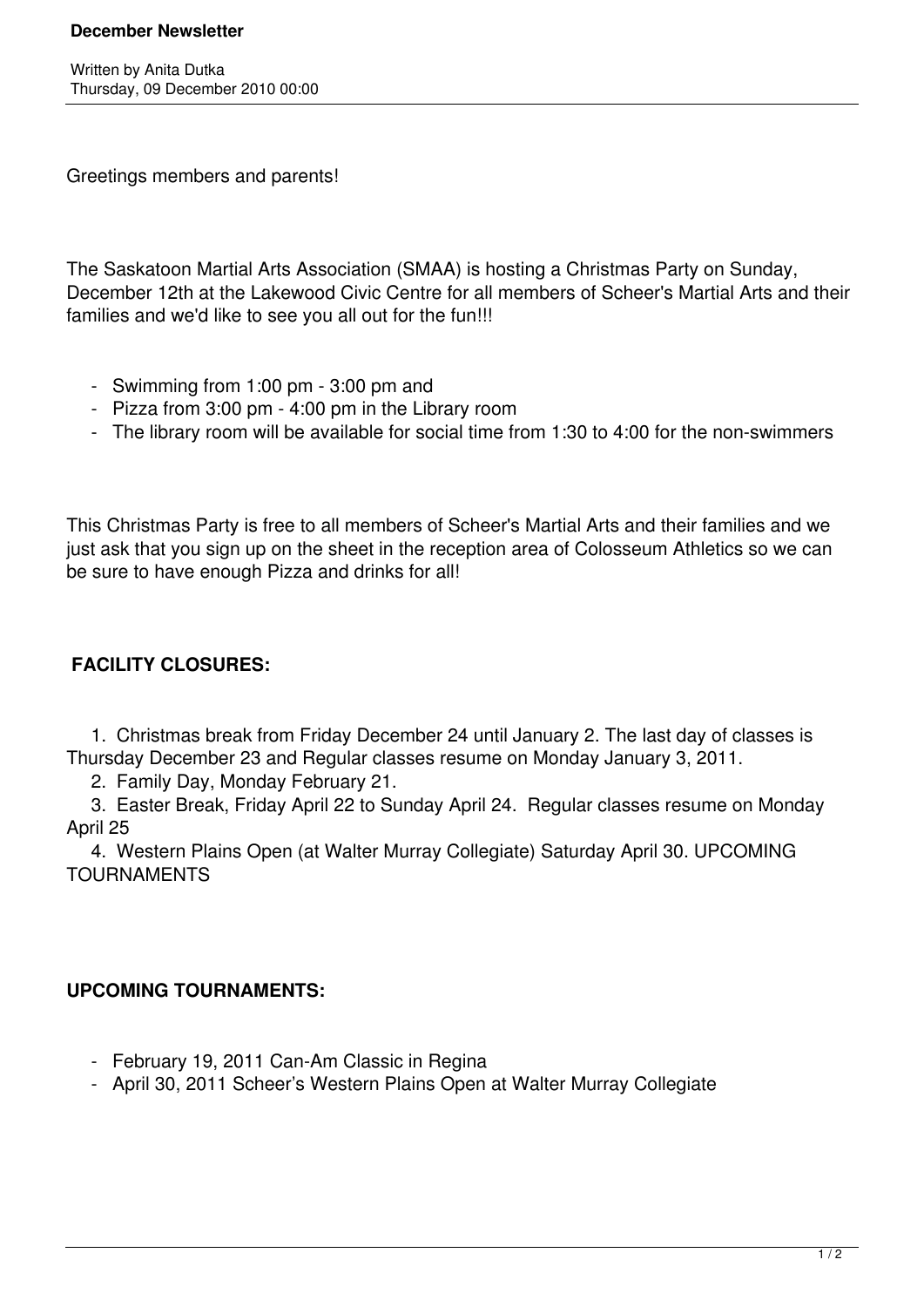### **December Newsletter**

Written by Anita Dutka Thursday, 09 December 2010 00:00

Greetings members and parents!

The Saskatoon Martial Arts Association (SMAA) is hosting a Christmas Party on Sunday, December 12th at the Lakewood Civic Centre for all members of Scheer's Martial Arts and their families and we'd like to see you all out for the fun!!!

- Swimming from 1:00 pm 3:00 pm and
- Pizza from 3:00 pm 4:00 pm in the Library room
- The library room will be available for social time from 1:30 to 4:00 for the non-swimmers

This Christmas Party is free to all members of Scheer's Martial Arts and their families and we just ask that you sign up on the sheet in the reception area of Colosseum Athletics so we can be sure to have enough Pizza and drinks for all!

# **FACILITY CLOSURES:**

 1. Christmas break from Friday December 24 until January 2. The last day of classes is Thursday December 23 and Regular classes resume on Monday January 3, 2011.

2. Family Day, Monday February 21.

 3. Easter Break, Friday April 22 to Sunday April 24. Regular classes resume on Monday April 25

 4. Western Plains Open (at Walter Murray Collegiate) Saturday April 30. UPCOMING TOURNAMENTS

### **UPCOMING TOURNAMENTS:**

- February 19, 2011 Can-Am Classic in Regina
- April 30, 2011 Scheer's Western Plains Open at Walter Murray Collegiate